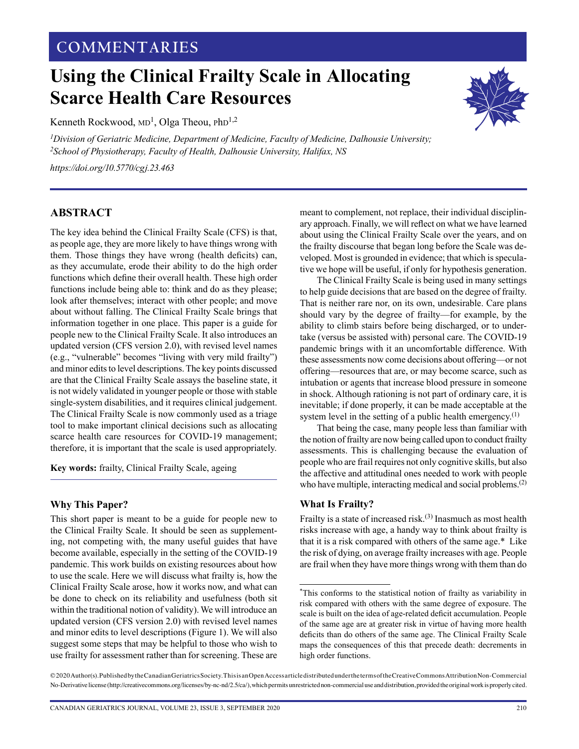# **COMMENTARIES**

# **Using the Clinical Frailty Scale in Allocating Scarce Health Care Resources**

Kenneth Rockwood, MD<sup>1</sup>, Olga Theou, PhD<sup>1,2</sup>

*1 Division of Geriatric Medicine, Department of Medicine, Faculty of Medicine, Dalhousie University; 2School of Physiotherapy, Faculty of Health, Dalhousie University, Halifax, NS*

*[https://doi.org/10.5770/cgj.23.463](https://doi.org/10.5770/cgj.XX.XXX)*

### **ABSTRACT**

The key idea behind the Clinical Frailty Scale (CFS) is that, as people age, they are more likely to have things wrong with them. Those things they have wrong (health deficits) can, as they accumulate, erode their ability to do the high order functions which define their overall health. These high order functions include being able to: think and do as they please; look after themselves; interact with other people; and move about without falling. The Clinical Frailty Scale brings that information together in one place. This paper is a guide for people new to the Clinical Frailty Scale. It also introduces an updated version (CFS version 2.0), with revised level names (e.g., "vulnerable" becomes "living with very mild frailty") and minor edits to level descriptions. The key points discussed are that the Clinical Frailty Scale assays the baseline state, it is not widely validated in younger people or those with stable single-system disabilities, and it requires clinical judgement. The Clinical Frailty Scale is now commonly used as a triage tool to make important clinical decisions such as allocating scarce health care resources for COVID-19 management; therefore, it is important that the scale is used appropriately.

**Key words:** frailty, Clinical Frailty Scale, ageing

#### **Why This Paper?**

This short paper is meant to be a guide for people new to the Clinical Frailty Scale. It should be seen as supplementing, not competing with, the many useful guides that have become available, especially in the setting of the COVID-19 pandemic. This work builds on existing resources about how to use the scale. Here we will discuss what frailty is, how the Clinical Frailty Scale arose, how it works now, and what can be done to check on its reliability and usefulness (both sit within the traditional notion of validity). We will introduce an updated version (CFS version 2.0) with revised level names and minor edits to level descriptions (Figure 1). We will also suggest some steps that may be helpful to those who wish to use frailty for assessment rather than for screening. These are



The Clinical Frailty Scale is being used in many settings to help guide decisions that are based on the degree of frailty. That is neither rare nor, on its own, undesirable. Care plans should vary by the degree of frailty—for example, by the ability to climb stairs before being discharged, or to undertake (versus be assisted with) personal care. The COVID-19 pandemic brings with it an uncomfortable difference. With these assessments now come decisions about offering—or not offering—resources that are, or may become scarce, such as intubation or agents that increase blood pressure in someone in shock. Although rationing is not part of ordinary care, it is inevitable; if done properly, it can be made acceptable at the system level in the setting of a public health emergency.<sup>(1)</sup>

That being the case, many people less than familiar with the notion of frailty are now being called upon to conduct frailty assessments. This is challenging because the evaluation of people who are frail requires not only cognitive skills, but also the affective and attitudinal ones needed to work with people who have multiple, interacting medical and social problems.<sup>(2)</sup>

#### **What Is Frailty?**

Frailty is a state of increased risk.(3) Inasmuch as most health risks increase with age, a handy way to think about frailty is that it is a risk compared with others of the same age.\* Like the risk of dying, on average frailty increases with age. People are frail when they have more things wrong with them than do



<sup>\*</sup>This conforms to the statistical notion of frailty as variability in risk compared with others with the same degree of exposure. The scale is built on the idea of age-related deficit accumulation. People of the same age are at greater risk in virtue of having more health deficits than do others of the same age. The Clinical Frailty Scale maps the consequences of this that precede death: decrements in high order functions.

<sup>© 2020</sup> Author(s). Published by the Canadian Geriatrics Society. This is an Open Access article distributed under the terms of the Creative Commons Attribution Non-Commercial No-Derivative license (http://creativecommons.org/licenses/by-nc-nd/2.5/ca/), which permits unrestricted non-commercial use and distribution, provided the original work is properly cited.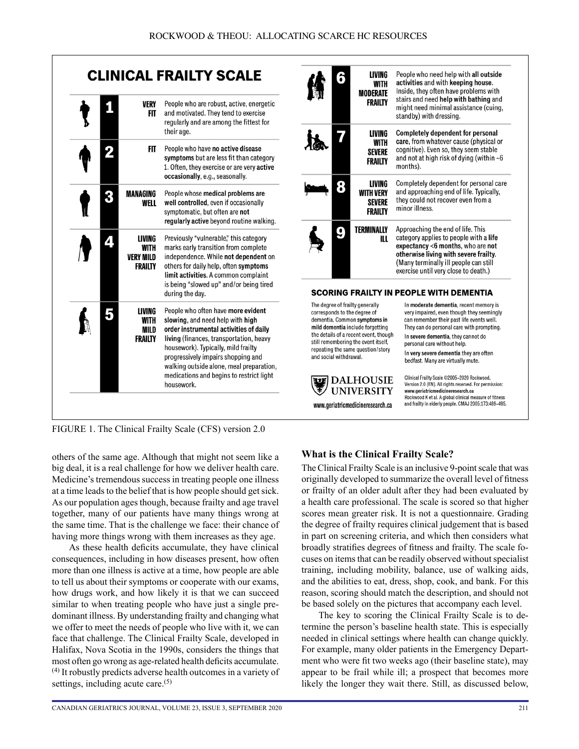



corresponds to the degree of dementia. Common symptoms in mild dementia include forgetting the details of a recent event, though still remembering the event itself, repeating the same question/story and social withdrawal.



very impaired, even though they seemingly can remember their past life events well. They can do personal care with prompting. In severe dementia, they cannot do personal care without help.

In very severe dementia they are often bedfast. Many are virtually mute.

Clinical Frailty Scale @2005-2020 Rockwood Version 2.0 (EN). All rights reserved. For permission: www.geriatricmedicineresearch.ca Rockwood K et al. A global clinical measure of fitness and frailty in elderly people. CMAJ 2005;173:489-495.

FIGURE 1. The Clinical Frailty Scale (CFS) version 2.0

others of the same age. Although that might not seem like a big deal, it is a real challenge for how we deliver health care. Medicine's tremendous success in treating people one illness at a time leads to the belief that is how people should get sick. As our population ages though, because frailty and age travel together, many of our patients have many things wrong at the same time. That is the challenge we face: their chance of having more things wrong with them increases as they age.

As these health deficits accumulate, they have clinical consequences, including in how diseases present, how often more than one illness is active at a time, how people are able to tell us about their symptoms or cooperate with our exams, how drugs work, and how likely it is that we can succeed similar to when treating people who have just a single predominant illness. By understanding frailty and changing what we offer to meet the needs of people who live with it, we can face that challenge. The Clinical Frailty Scale, developed in Halifax, Nova Scotia in the 1990s, considers the things that most often go wrong as age-related health deficits accumulate. (4) It robustly predicts adverse health outcomes in a variety of settings, including acute care. $(5)$ 

# **What is the Clinical Frailty Scale?**

The Clinical Frailty Scale is an inclusive 9-point scale that was originally developed to summarize the overall level of fitness or frailty of an older adult after they had been evaluated by a health care professional. The scale is scored so that higher scores mean greater risk. It is not a questionnaire. Grading the degree of frailty requires clinical judgement that is based in part on screening criteria, and which then considers what broadly stratifies degrees of fitness and frailty. The scale focuses on items that can be readily observed without specialist training, including mobility, balance, use of walking aids, and the abilities to eat, dress, shop, cook, and bank. For this reason, scoring should match the description, and should not be based solely on the pictures that accompany each level.

The key to scoring the Clinical Frailty Scale is to determine the person's baseline health state. This is especially needed in clinical settings where health can change quickly. For example, many older patients in the Emergency Department who were fit two weeks ago (their baseline state), may appear to be frail while ill; a prospect that becomes more likely the longer they wait there. Still, as discussed below,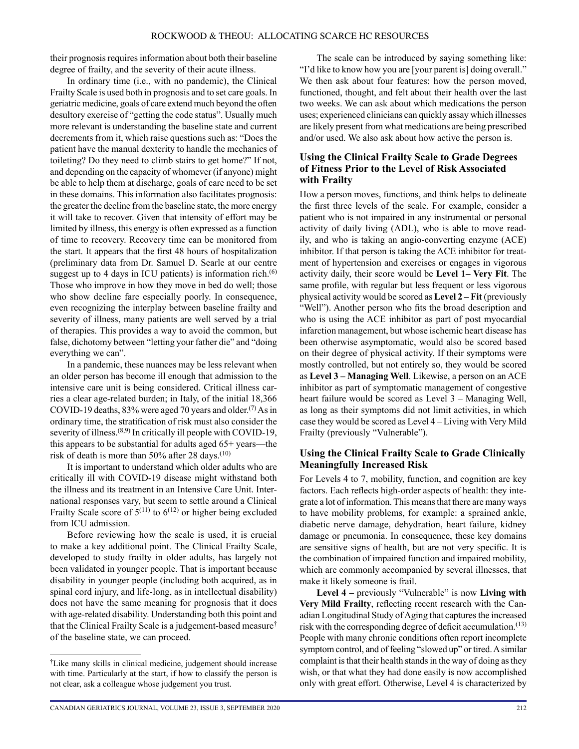their prognosis requires information about both their baseline degree of frailty, and the severity of their acute illness.

In ordinary time (i.e., with no pandemic), the Clinical Frailty Scale is used both in prognosis and to set care goals. In geriatric medicine, goals of care extend much beyond the often desultory exercise of "getting the code status". Usually much more relevant is understanding the baseline state and current decrements from it, which raise questions such as: "Does the patient have the manual dexterity to handle the mechanics of toileting? Do they need to climb stairs to get home?" If not, and depending on the capacity of whomever (if anyone) might be able to help them at discharge, goals of care need to be set in these domains. This information also facilitates prognosis: the greater the decline from the baseline state, the more energy it will take to recover. Given that intensity of effort may be limited by illness, this energy is often expressed as a function of time to recovery. Recovery time can be monitored from the start. It appears that the first 48 hours of hospitalization (preliminary data from Dr. Samuel D. Searle at our centre suggest up to 4 days in ICU patients) is information rich. $(6)$ Those who improve in how they move in bed do well; those who show decline fare especially poorly. In consequence, even recognizing the interplay between baseline frailty and severity of illness, many patients are well served by a trial of therapies. This provides a way to avoid the common, but false, dichotomy between "letting your father die" and "doing everything we can".

In a pandemic, these nuances may be less relevant when an older person has become ill enough that admission to the intensive care unit is being considered. Critical illness carries a clear age-related burden; in Italy, of the initial 18,366 COVID-19 deaths, 83% were aged 70 years and older.<sup>(7)</sup> As in ordinary time, the stratification of risk must also consider the severity of illness.<sup>(8,9)</sup> In critically ill people with COVID-19, this appears to be substantial for adults aged 65+ years—the risk of death is more than 50% after 28 days.<sup>(10)</sup>

It is important to understand which older adults who are critically ill with COVID-19 disease might withstand both the illness and its treatment in an Intensive Care Unit. International responses vary, but seem to settle around a Clinical Frailty Scale score of  $5^{(11)}$  to  $6^{(12)}$  or higher being excluded from ICU admission.

Before reviewing how the scale is used, it is crucial to make a key additional point. The Clinical Frailty Scale, developed to study frailty in older adults, has largely not been validated in younger people. That is important because disability in younger people (including both acquired, as in spinal cord injury, and life-long, as in intellectual disability) does not have the same meaning for prognosis that it does with age-related disability. Understanding both this point and that the Clinical Frailty Scale is a judgement-based measure† of the baseline state, we can proceed.

The scale can be introduced by saying something like: "I'd like to know how you are [your parent is] doing overall." We then ask about four features: how the person moved, functioned, thought, and felt about their health over the last two weeks. We can ask about which medications the person uses; experienced clinicians can quickly assay which illnesses are likely present from what medications are being prescribed and/or used. We also ask about how active the person is.

#### **Using the Clinical Frailty Scale to Grade Degrees of Fitness Prior to the Level of Risk Associated with Frailty**

How a person moves, functions, and think helps to delineate the first three levels of the scale. For example, consider a patient who is not impaired in any instrumental or personal activity of daily living (ADL), who is able to move readily, and who is taking an angio-converting enzyme (ACE) inhibitor. If that person is taking the ACE inhibitor for treatment of hypertension and exercises or engages in vigorous activity daily, their score would be **Level 1– Very Fit**. The same profile, with regular but less frequent or less vigorous physical activity would be scored as **Level 2 – Fit** (previously "Well"). Another person who fits the broad description and who is using the ACE inhibitor as part of post myocardial infarction management, but whose ischemic heart disease has been otherwise asymptomatic, would also be scored based on their degree of physical activity. If their symptoms were mostly controlled, but not entirely so, they would be scored as **Level 3 – Managing Well**. Likewise, a person on an ACE inhibitor as part of symptomatic management of congestive heart failure would be scored as Level 3 – Managing Well, as long as their symptoms did not limit activities, in which case they would be scored as Level 4 – Living with Very Mild Frailty (previously "Vulnerable").

#### **Using the Clinical Frailty Scale to Grade Clinically Meaningfully Increased Risk**

For Levels 4 to 7, mobility, function, and cognition are key factors. Each reflects high-order aspects of health: they integrate a lot of information. This means that there are many ways to have mobility problems, for example: a sprained ankle, diabetic nerve damage, dehydration, heart failure, kidney damage or pneumonia. In consequence, these key domains are sensitive signs of health, but are not very specific. It is the combination of impaired function and impaired mobility, which are commonly accompanied by several illnesses, that make it likely someone is frail.

**Level 4 –** previously "Vulnerable" is now **Living with Very Mild Frailty**, reflecting recent research with the Canadian Longitudinal Study of Aging that captures the increased risk with the corresponding degree of deficit accumulation.<sup>(13)</sup> People with many chronic conditions often report incomplete symptom control, and of feeling "slowed up" or tired. A similar complaint is that their health stands in the way of doing as they wish, or that what they had done easily is now accomplished only with great effort. Otherwise, Level 4 is characterized by

<sup>†</sup>Like many skills in clinical medicine, judgement should increase with time. Particularly at the start, if how to classify the person is not clear, ask a colleague whose judgement you trust.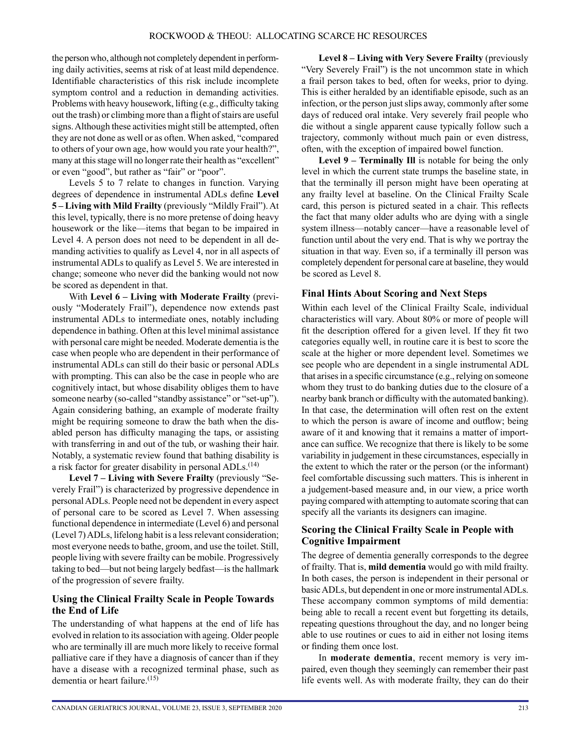the person who, although not completely dependent in performing daily activities, seems at risk of at least mild dependence. Identifiable characteristics of this risk include incomplete symptom control and a reduction in demanding activities. Problems with heavy housework, lifting (e.g., difficulty taking out the trash) or climbing more than a flight of stairs are useful signs. Although these activities might still be attempted, often they are not done as well or as often. When asked, "compared to others of your own age, how would you rate your health?", many at this stage will no longer rate their health as "excellent" or even "good", but rather as "fair" or "poor".

Levels 5 to 7 relate to changes in function. Varying degrees of dependence in instrumental ADLs define **Level 5 – Living with Mild Frailty** (previously "Mildly Frail"). At this level, typically, there is no more pretense of doing heavy housework or the like—items that began to be impaired in Level 4. A person does not need to be dependent in all demanding activities to qualify as Level 4, nor in all aspects of instrumental ADLs to qualify as Level 5. We are interested in change; someone who never did the banking would not now be scored as dependent in that.

With **Level 6 – Living with Moderate Frailty** (previously "Moderately Frail"), dependence now extends past instrumental ADLs to intermediate ones, notably including dependence in bathing. Often at this level minimal assistance with personal care might be needed. Moderate dementia is the case when people who are dependent in their performance of instrumental ADLs can still do their basic or personal ADLs with prompting. This can also be the case in people who are cognitively intact, but whose disability obliges them to have someone nearby (so-called "standby assistance" or "set-up"). Again considering bathing, an example of moderate frailty might be requiring someone to draw the bath when the disabled person has difficulty managing the taps, or assisting with transferring in and out of the tub, or washing their hair. Notably, a systematic review found that bathing disability is a risk factor for greater disability in personal ADLs.<sup>(14)</sup>

**Level 7 – Living with Severe Frailty** (previously "Severely Frail") is characterized by progressive dependence in personal ADLs. People need not be dependent in every aspect of personal care to be scored as Level 7. When assessing functional dependence in intermediate (Level 6) and personal (Level 7) ADLs, lifelong habit is a less relevant consideration; most everyone needs to bathe, groom, and use the toilet. Still, people living with severe frailty can be mobile. Progressively taking to bed—but not being largely bedfast—is the hallmark of the progression of severe frailty.

#### **Using the Clinical Frailty Scale in People Towards the End of Life**

The understanding of what happens at the end of life has evolved in relation to its association with ageing. Older people who are terminally ill are much more likely to receive formal palliative care if they have a diagnosis of cancer than if they have a disease with a recognized terminal phase, such as dementia or heart failure.<sup>(15)</sup>

Level 8 – Living with Very Severe Frailty (previously "Very Severely Frail") is the not uncommon state in which a frail person takes to bed, often for weeks, prior to dying. This is either heralded by an identifiable episode, such as an infection, or the person just slips away, commonly after some days of reduced oral intake. Very severely frail people who die without a single apparent cause typically follow such a trajectory, commonly without much pain or even distress, often, with the exception of impaired bowel function.

**Level 9 – Terminally Ill** is notable for being the only level in which the current state trumps the baseline state, in that the terminally ill person might have been operating at any frailty level at baseline. On the Clinical Frailty Scale card, this person is pictured seated in a chair. This reflects the fact that many older adults who are dying with a single system illness—notably cancer—have a reasonable level of function until about the very end. That is why we portray the situation in that way. Even so, if a terminally ill person was completely dependent for personal care at baseline, they would be scored as Level 8.

#### **Final Hints About Scoring and Next Steps**

Within each level of the Clinical Frailty Scale, individual characteristics will vary. About 80% or more of people will fit the description offered for a given level. If they fit two categories equally well, in routine care it is best to score the scale at the higher or more dependent level. Sometimes we see people who are dependent in a single instrumental ADL that arises in a specific circumstance (e.g., relying on someone whom they trust to do banking duties due to the closure of a nearby bank branch or difficulty with the automated banking). In that case, the determination will often rest on the extent to which the person is aware of income and outflow; being aware of it and knowing that it remains a matter of importance can suffice. We recognize that there is likely to be some variability in judgement in these circumstances, especially in the extent to which the rater or the person (or the informant) feel comfortable discussing such matters. This is inherent in a judgement-based measure and, in our view, a price worth paying compared with attempting to automate scoring that can specify all the variants its designers can imagine.

#### **Scoring the Clinical Frailty Scale in People with Cognitive Impairment**

The degree of dementia generally corresponds to the degree of frailty. That is, **mild dementia** would go with mild frailty. In both cases, the person is independent in their personal or basic ADLs, but dependent in one or more instrumental ADLs. These accompany common symptoms of mild dementia: being able to recall a recent event but forgetting its details, repeating questions throughout the day, and no longer being able to use routines or cues to aid in either not losing items or finding them once lost.

In **moderate dementia**, recent memory is very impaired, even though they seemingly can remember their past life events well. As with moderate frailty, they can do their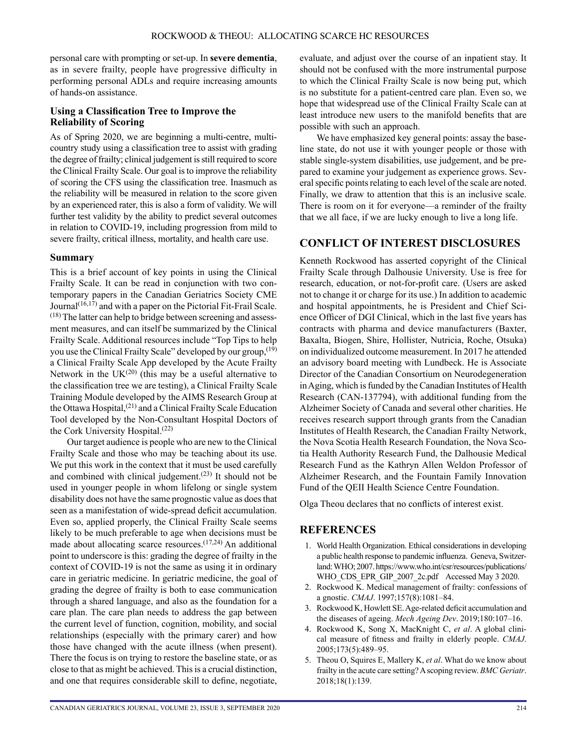personal care with prompting or set-up. In **severe dementia**, as in severe frailty, people have progressive difficulty in performing personal ADLs and require increasing amounts of hands-on assistance.

#### **Using a Classification Tree to Improve the Reliability of Scoring**

As of Spring 2020, we are beginning a multi-centre, multicountry study using a classification tree to assist with grading the degree of frailty; clinical judgement is still required to score the Clinical Frailty Scale. Our goal is to improve the reliability of scoring the CFS using the classification tree. Inasmuch as the reliability will be measured in relation to the score given by an experienced rater, this is also a form of validity. We will further test validity by the ability to predict several outcomes in relation to COVID-19, including progression from mild to severe frailty, critical illness, mortality, and health care use.

#### **Summary**

This is a brief account of key points in using the Clinical Frailty Scale. It can be read in conjunction with two contemporary papers in the Canadian Geriatrics Society CME Journal $(16,17)$  and with a paper on the Pictorial Fit-Frail Scale. (18) The latter can help to bridge between screening and assessment measures, and can itself be summarized by the Clinical Frailty Scale. Additional resources include "Top Tips to help you use the Clinical Frailty Scale" developed by our group,  $(19)$ a Clinical Frailty Scale App developed by the Acute Frailty Network in the UK $(20)$  (this may be a useful alternative to the classification tree we are testing), a Clinical Frailty Scale Training Module developed by the AIMS Research Group at the Ottawa Hospital, $(21)$  and a Clinical Frailty Scale Education Tool developed by the Non-Consultant Hospital Doctors of the Cork University Hospital.(22)

Our target audience is people who are new to the Clinical Frailty Scale and those who may be teaching about its use. We put this work in the context that it must be used carefully and combined with clinical judgement.<sup> $(23)$ </sup> It should not be used in younger people in whom lifelong or single system disability does not have the same prognostic value as does that seen as a manifestation of wide-spread deficit accumulation. Even so, applied properly, the Clinical Frailty Scale seems likely to be much preferable to age when decisions must be made about allocating scarce resources.<sup> $(17,24)$ </sup> An additional point to underscore is this: grading the degree of frailty in the context of COVID-19 is not the same as using it in ordinary care in geriatric medicine. In geriatric medicine, the goal of grading the degree of frailty is both to ease communication through a shared language, and also as the foundation for a care plan. The care plan needs to address the gap between the current level of function, cognition, mobility, and social relationships (especially with the primary carer) and how those have changed with the acute illness (when present). There the focus is on trying to restore the baseline state, or as close to that as might be achieved. This is a crucial distinction, and one that requires considerable skill to define, negotiate, evaluate, and adjust over the course of an inpatient stay. It should not be confused with the more instrumental purpose to which the Clinical Frailty Scale is now being put, which is no substitute for a patient-centred care plan. Even so, we hope that widespread use of the Clinical Frailty Scale can at least introduce new users to the manifold benefits that are possible with such an approach.

We have emphasized key general points: assay the baseline state, do not use it with younger people or those with stable single-system disabilities, use judgement, and be prepared to examine your judgement as experience grows. Several specific points relating to each level of the scale are noted. Finally, we draw to attention that this is an inclusive scale. There is room on it for everyone—a reminder of the frailty that we all face, if we are lucky enough to live a long life.

# **CONFLICT OF INTEREST DISCLOSURES**

Kenneth Rockwood has asserted copyright of the Clinical Frailty Scale through Dalhousie University. Use is free for research, education, or not-for-profit care. (Users are asked not to change it or charge for its use.) In addition to academic and hospital appointments, he is President and Chief Science Officer of DGI Clinical, which in the last five years has contracts with pharma and device manufacturers (Baxter, Baxalta, Biogen, Shire, Hollister, Nutricia, Roche, Otsuka) on individualized outcome measurement. In 2017 he attended an advisory board meeting with Lundbeck. He is Associate Director of the Canadian Consortium on Neurodegeneration in Aging, which is funded by the Canadian Institutes of Health Research (CAN-137794), with additional funding from the Alzheimer Society of Canada and several other charities. He receives research support through grants from the Canadian Institutes of Health Research, the Canadian Frailty Network, the Nova Scotia Health Research Foundation, the Nova Scotia Health Authority Research Fund, the Dalhousie Medical Research Fund as the Kathryn Allen Weldon Professor of Alzheimer Research, and the Fountain Family Innovation Fund of the QEII Health Science Centre Foundation.

Olga Theou declares that no conflicts of interest exist.

#### **REFERENCES**

- 1. World Health Organization. Ethical considerations in developing a public health response to pandemic influenza. Geneva, Switzerland: WHO; 2007. [https://www.who.int/csr/resources/publications/](https://www.who.int/csr/resources/publications/WHO_CDS_EPR_GIP_2007_2c.pdf) [WHO\\_CDS\\_EPR\\_GIP\\_2007\\_2c.pdf](https://www.who.int/csr/resources/publications/WHO_CDS_EPR_GIP_2007_2c.pdf) Accessed May 3 2020.
- 2. Rockwood K. Medical management of frailty: confessions of a gnostic. *CMAJ*. 1997;157(8):1081–84.
- 3. Rockwood K, Howlett SE. Age-related deficit accumulation and the diseases of ageing. *Mech Ageing Dev*. 2019;180:107–16.
- 4. Rockwood K, Song X, MacKnight C, *et al*. A global clinical measure of fitness and frailty in elderly people. *CMAJ*. 2005;173(5):489–95.
- 5. Theou O, Squires E, Mallery K, *et al*. What do we know about frailty in the acute care setting? A scoping review. *BMC Geriatr*. 2018;18(1):139.